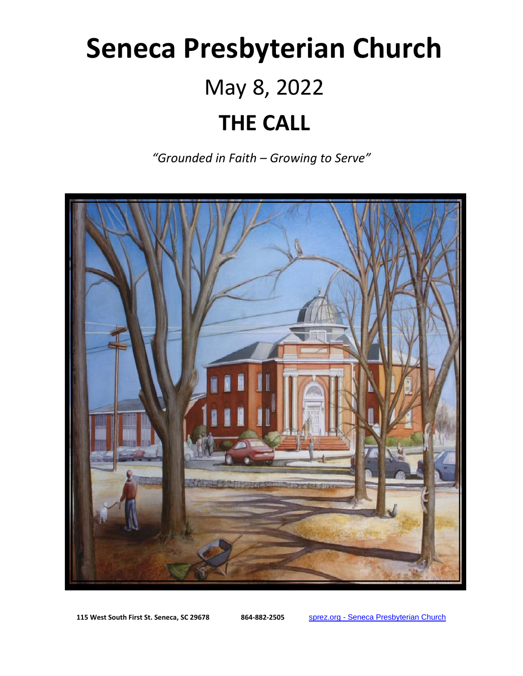# **Seneca Presbyterian Church** May 8, 2022 **THE CALL**

*"Grounded in Faith – Growing to Serve"*



**115 West South First St. Seneca, SC 29678 864-882-2505** sprez.org - [Seneca Presbyterian Church](https://sprez.org/)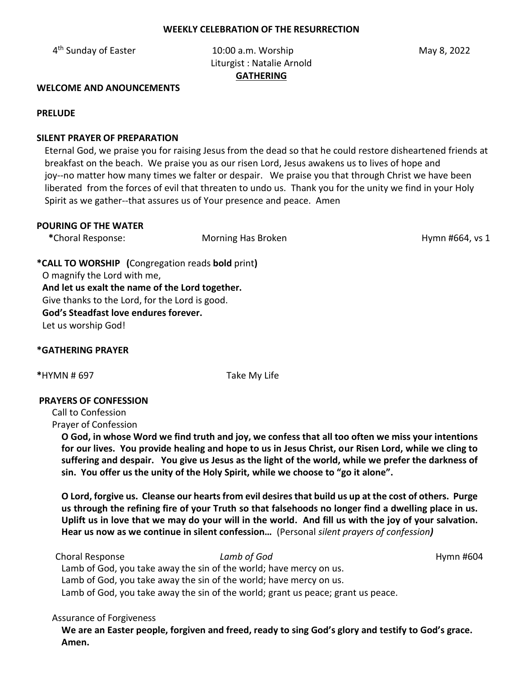#### **WEEKLY CELEBRATION OF THE RESURRECTION**

4<sup>th</sup> Sunday of Easter

10:00 a.m. Worship May 8, 2022 Liturgist : Natalie Arnold **GATHERING**

**WELCOME AND ANOUNCEMENTS** 

**PRELUDE**

## **SILENT PRAYER OF PREPARATION**

 Eternal God, we praise you for raising Jesus from the dead so that he could restore disheartened friends at breakfast on the beach. We praise you as our risen Lord, Jesus awakens us to lives of hope and joy--no matter how many times we falter or despair. We praise you that through Christ we have been liberated from the forces of evil that threaten to undo us. Thank you for the unity we find in your Holy Spirit as we gather--that assures us of Your presence and peace. Amen

## **POURING OF THE WATER**

\*Choral Response: **Morning Has Broken Music Community Choral Response:** Morning Has Broken **Hymn #664, vs 1** 

**\*CALL TO WORSHIP (**Congregation reads **bold** print**)**  O magnify the Lord with me, **And let us exalt the name of the Lord together.** Give thanks to the Lord, for the Lord is good. **God's Steadfast love endures forever.**  Let us worship God!

## **\*GATHERING PRAYER**

**\***HYMN # 697 Take My Life

## **PRAYERS OF CONFESSION**

Call to Confession Prayer of Confession

> **O God, in whose Word we find truth and joy, we confess that all too often we miss your intentions for our lives. You provide healing and hope to us in Jesus Christ, our Risen Lord, while we cling to suffering and despair. You give us Jesus as the light of the world, while we prefer the darkness of sin. You offer us the unity of the Holy Spirit, while we choose to "go it alone".**

> **O Lord, forgive us. Cleanse our hearts from evil desires that build us up at the cost of others. Purge us through the refining fire of your Truth so that falsehoods no longer find a dwelling place in us. Uplift us in love that we may do your will in the world. And fill us with the joy of your salvation. Hear us now as we continue in silent confession…** (Personal *silent prayers of confession)*

Choral Response *Lamb of God* Hymn #604

Lamb of God, you take away the sin of the world; have mercy on us. Lamb of God, you take away the sin of the world; have mercy on us. Lamb of God, you take away the sin of the world; grant us peace; grant us peace.

## Assurance of Forgiveness

**We are an Easter people, forgiven and freed, ready to sing God's glory and testify to God's grace. Amen.**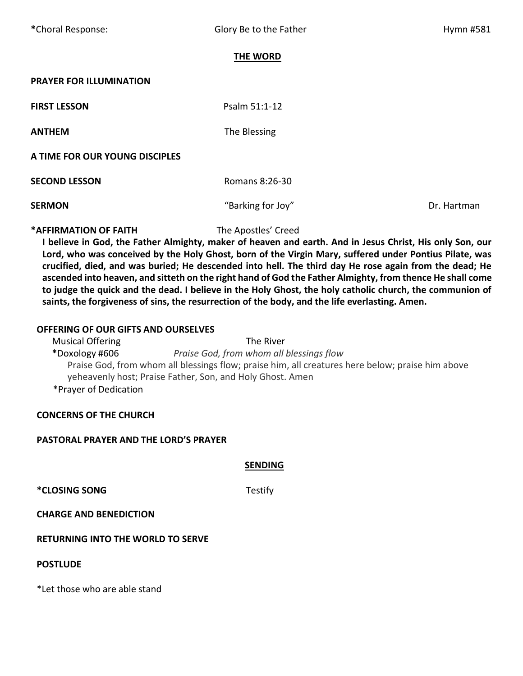## **THE WORD**

#### **PRAYER FOR ILLUMINATION**

**ANTHEM** The Blessing

**Psalm 51:1-12** 

#### **A TIME FOR OUR YOUNG DISCIPLES**

**SECOND LESSON CONDUCTED:** Romans 8:26-30

**SERMON** Dr. Hartman **CONSISTERMON CONSISTENT CONSISTENT CONSISTENT CONSISTENT CONSISTENT CONSISTENT CONSISTENT CONSISTENT CONSISTENT CONSISTENT CONSISTENT CONSISTENT CONSISTENT CONSISTENT CON** 

#### **\*AFFIRMATION OF FAITH** The Apostles' Creed

**I believe in God, the Father Almighty, maker of heaven and earth. And in Jesus Christ, His only Son, our Lord, who was conceived by the Holy Ghost, born of the Virgin Mary, suffered under Pontius Pilate, was crucified, died, and was buried; He descended into hell. The third day He rose again from the dead; He ascended into heaven, and sitteth on the right hand of God the Father Almighty, from thence He shall come to judge the quick and the dead. I believe in the Holy Ghost, the holy catholic church, the communion of saints, the forgiveness of sins, the resurrection of the body, and the life everlasting. Amen.**

## **OFFERING OF OUR GIFTS AND OURSELVES**

Musical Offering The River **\***Doxology #606 *Praise God, from whom all blessings flow* Praise God, from whom all blessings flow; praise him, all creatures here below; praise him above yeheavenly host; Praise Father, Son, and Holy Ghost. Amen \*Prayer of Dedication

## **CONCERNS OF THE CHURCH**

#### **PASTORAL PRAYER AND THE LORD'S PRAYER**

**SENDING**

**\*CLOSING SONG** Testify

**CHARGE AND BENEDICTION** 

#### **RETURNING INTO THE WORLD TO SERVE**

#### **POSTLUDE**

\*Let those who are able stand